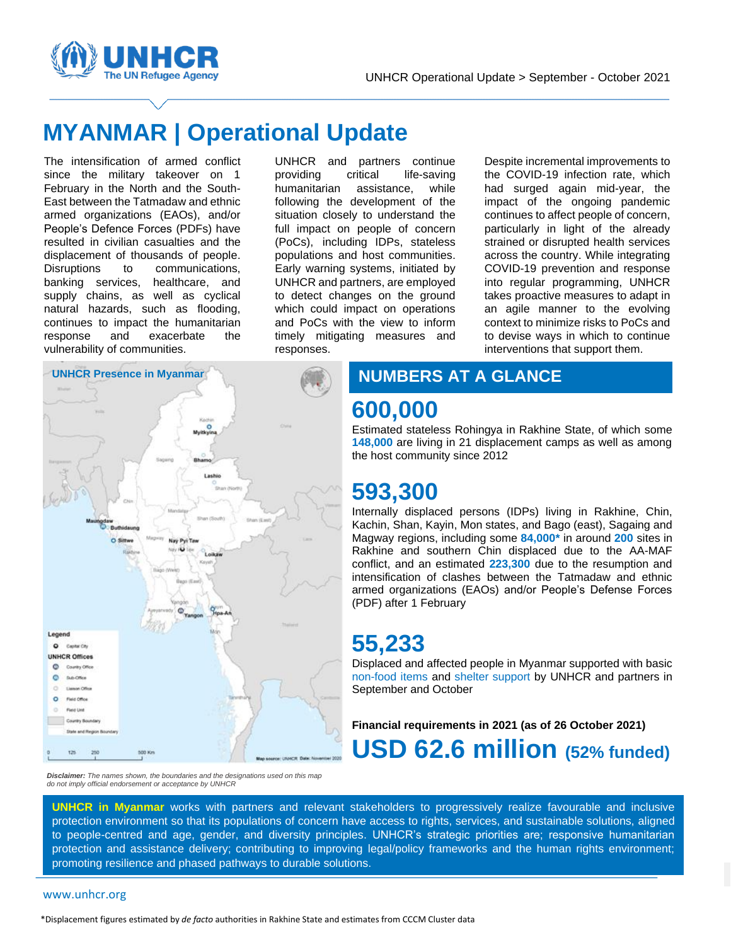

# **MYANMAR | Operational Update**

The intensification of armed conflict since the military takeover on 1 February in the North and the South-East between the Tatmadaw and ethnic armed organizations (EAOs), and/or People's Defence Forces (PDFs) have resulted in civilian casualties and the displacement of thousands of people. Disruptions to communications, banking services, healthcare, and supply chains, as well as cyclical natural hazards, such as flooding, continues to impact the humanitarian response and exacerbate the vulnerability of communities.



UNHCR and partners continue providing critical life-saving humanitarian assistance, while following the development of the situation closely to understand the full impact on people of concern (PoCs), including IDPs, stateless populations and host communities. Early warning systems, initiated by UNHCR and partners, are employed to detect changes on the ground which could impact on operations and PoCs with the view to inform timely mitigating measures and responses.

Despite incremental improvements to the COVID-19 infection rate, which had surged again mid-year, the impact of the ongoing pandemic continues to affect people of concern, particularly in light of the already strained or disrupted health services across the country. While integrating COVID-19 prevention and response into regular programming, UNHCR takes proactive measures to adapt in an agile manner to the evolving context to minimize risks to PoCs and to devise ways in which to continue interventions that support them.

# **600,000**

Estimated stateless Rohingya in Rakhine State, of which some **148,000** are living in 21 displacement camps as well as among the host community since 2012

# **593,300**

Internally displaced persons (IDPs) living in Rakhine, Chin, Kachin, Shan, Kayin, Mon states, and Bago (east), Sagaing and Magway regions, including some **84,000\*** in around **200** sites in Rakhine and southern Chin displaced due to the AA-MAF conflict, and an estimated **223,300** due to the resumption and intensification of clashes between the Tatmadaw and ethnic armed organizations (EAOs) and/or People's Defense Forces (PDF) after 1 February

# **55,233**

Displaced and affected people in Myanmar supported with basic non-food items and shelter support by UNHCR and partners in September and October

**Financial requirements in 2021 (as of 26 October 2021) Financial requirements in 2020 (as of 05 January 2021)**

**USD 62.6 million (52% funded) USD 52.2 million (60% funded)**

**Disclaimer:** The names shown, the boundaries and the designations used on this map <br>de nat imply official andersoment as acceptance by UNICO *do not imply official endorsement or acceptance by UNHCR*

**UNHCR in Myanmar** works with partners and relevant stakeholders to progressively realize favourable and inclusive protection environment so that its populations of concern have access to rights, services, and sustainable solutions, aligned to people-centred and age, gender, and diversity principles. UNHCR's strategic priorities are; responsive humanitarian protection and assistance delivery; contributing to improving legal/policy frameworks and the human rights environment; promoting resilience and phased pathways to durable solutions.

#### [www.unhcr.org](http://www.unhcr.org/)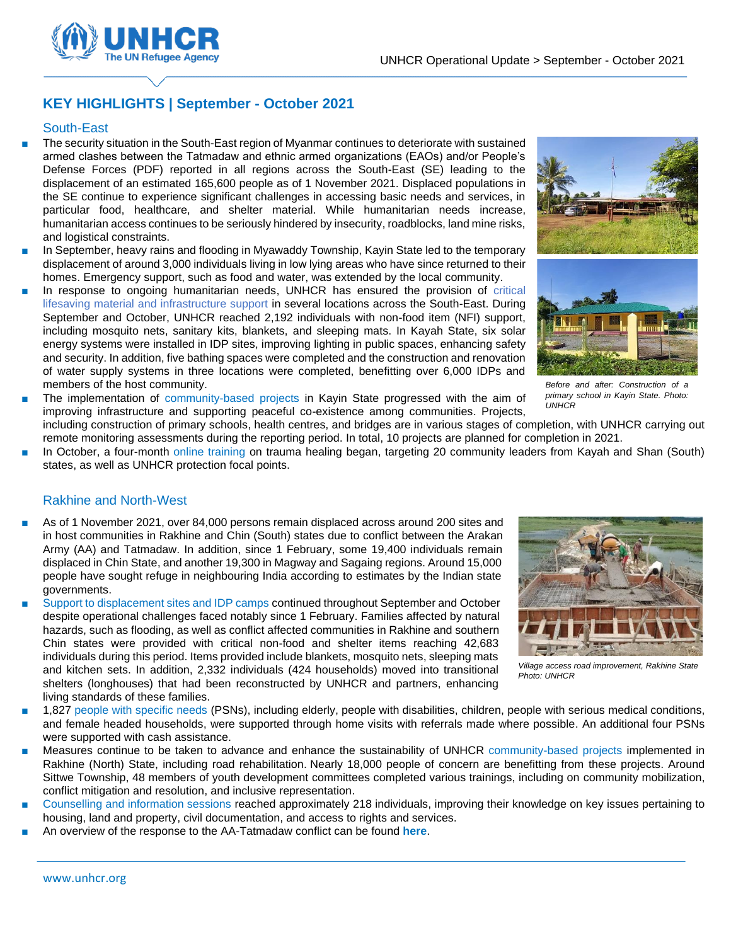

## **KEY HIGHLIGHTS | September - October 2021**

#### South-East

- The security situation in the South-East region of Myanmar continues to deteriorate with sustained armed clashes between the Tatmadaw and ethnic armed organizations (EAOs) and/or People's Defense Forces (PDF) reported in all regions across the South-East (SE) leading to the displacement of an estimated 165,600 people as of 1 November 2021. Displaced populations in the SE continue to experience significant challenges in accessing basic needs and services, in particular food, healthcare, and shelter material. While humanitarian needs increase, humanitarian access continues to be seriously hindered by insecurity, roadblocks, land mine risks, and logistical constraints.
- In September, heavy rains and flooding in Myawaddy Township, Kayin State led to the temporary displacement of around 3,000 individuals living in low lying areas who have since returned to their homes. Emergency support, such as food and water, was extended by the local community.
- In response to ongoing humanitarian needs, UNHCR has ensured the provision of critical lifesaving material and infrastructure support in several locations across the South-East. During September and October, UNHCR reached 2,192 individuals with non-food item (NFI) support, including mosquito nets, sanitary kits, blankets, and sleeping mats. In Kayah State, six solar energy systems were installed in IDP sites, improving lighting in public spaces, enhancing safety and security. In addition, five bathing spaces were completed and the construction and renovation of water supply systems in three locations were completed, benefitting over 6,000 IDPs and members of the host community.





*Before and after: Construction of a primary school in Kayin State. Photo: UNHCR*

- The implementation of community-based projects in Kayin State progressed with the aim of improving infrastructure and supporting peaceful co-existence among communities. Projects,
- including construction of primary schools, health centres, and bridges are in various stages of completion, with UNHCR carrying out remote monitoring assessments during the reporting period. In total, 10 projects are planned for completion in 2021.
- In October, a four-month online training on trauma healing began, targeting 20 community leaders from Kayah and Shan (South) states, as well as UNHCR protection focal points.

### Rakhine and North-West

- As of 1 November 2021, over 84,000 persons remain displaced across around 200 sites and in host communities in Rakhine and Chin (South) states due to conflict between the Arakan Army (AA) and Tatmadaw. In addition, since 1 February, some 19,400 individuals remain displaced in Chin State, and another 19,300 in Magway and Sagaing regions. Around 15,000 people have sought refuge in neighbouring India according to estimates by the Indian state governments.
- Support to displacement sites and IDP camps continued throughout September and October despite operational challenges faced notably since 1 February. Families affected by natural hazards, such as flooding, as well as conflict affected communities in Rakhine and southern Chin states were provided with critical non-food and shelter items reaching 42,683 individuals during this period. Items provided include blankets, mosquito nets, sleeping mats and kitchen sets. In addition, 2,332 individuals (424 households) moved into transitional shelters (longhouses) that had been reconstructed by UNHCR and partners, enhancing living standards of these families.



*Village access road improvement, Rakhine State Photo: UNHCR*

- 1,827 people with specific needs (PSNs), including elderly, people with disabilities, children, people with serious medical conditions, and female headed households, were supported through home visits with referrals made where possible. An additional four PSNs were supported with cash assistance.
- Measures continue to be taken to advance and enhance the sustainability of UNHCR community-based projects implemented in Rakhine (North) State, including road rehabilitation. Nearly 18,000 people of concern are benefitting from these projects. Around Sittwe Township, 48 members of youth development committees completed various trainings, including on community mobilization, conflict mitigation and resolution, and inclusive representation.
- Counselling and information sessions reached approximately 218 individuals, improving their knowledge on key issues pertaining to housing, land and property, civil documentation, and access to rights and services.
- An overview of the response to the AA-Tatmadaw conflict can be found **[here](https://data.unhcr.org/en/documents/details/89288)**.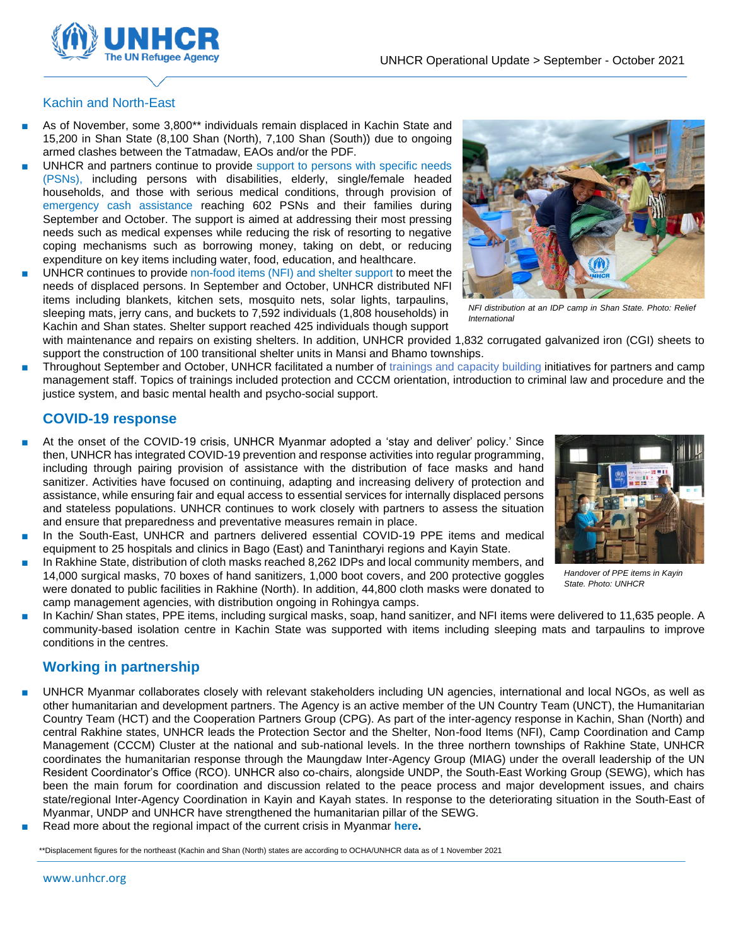

#### Kachin and North-East

- As of November, some 3,800\*\* individuals remain displaced in Kachin State and 15,200 in Shan State (8,100 Shan (North), 7,100 Shan (South)) due to ongoing armed clashes between the Tatmadaw, EAOs and/or the PDF.
- UNHCR and partners continue to provide support to persons with specific needs (PSNs), including persons with disabilities, elderly, single/female headed households, and those with serious medical conditions, through provision of emergency cash assistance reaching 602 PSNs and their families during September and October. The support is aimed at addressing their most pressing needs such as medical expenses while reducing the risk of resorting to negative coping mechanisms such as borrowing money, taking on debt, or reducing expenditure on key items including water, food, education, and healthcare.
- UNHCR continues to provide non-food items (NFI) and shelter support to meet the needs of displaced persons. In September and October, UNHCR distributed NFI items including blankets, kitchen sets, mosquito nets, solar lights, tarpaulins, sleeping mats, jerry cans, and buckets to 7,592 individuals (1,808 households) in Kachin and Shan states. Shelter support reached 425 individuals though support



*NFI distribution at an IDP camp in Shan State. Photo: Relief International*

with maintenance and repairs on existing shelters. In addition, UNHCR provided 1,832 corrugated galvanized iron (CGI) sheets to support the construction of 100 transitional shelter units in Mansi and Bhamo townships.

Throughout September and October, UNHCR facilitated a number of trainings and capacity building initiatives for partners and camp management staff. Topics of trainings included protection and CCCM orientation, introduction to criminal law and procedure and the justice system, and basic mental health and psycho-social support.

### **COVID-19 response**

- At the onset of the COVID-19 crisis, UNHCR Myanmar adopted a 'stay and deliver' policy.' Since then, UNHCR has integrated COVID-19 prevention and response activities into regular programming, including through pairing provision of assistance with the distribution of face masks and hand sanitizer. Activities have focused on continuing, adapting and increasing delivery of protection and assistance, while ensuring fair and equal access to essential services for internally displaced persons and stateless populations. UNHCR continues to work closely with partners to assess the situation and ensure that preparedness and preventative measures remain in place.
- In the South-East, UNHCR and partners delivered essential COVID-19 PPE items and medical equipment to 25 hospitals and clinics in Bago (East) and Tanintharyi regions and Kayin State.
- In Rakhine State, distribution of cloth masks reached 8,262 IDPs and local community members, and 14,000 surgical masks, 70 boxes of hand sanitizers, 1,000 boot covers, and 200 protective goggles were donated to public facilities in Rakhine (North). In addition, 44,800 cloth masks were donated to camp management agencies, with distribution ongoing in Rohingya camps.
- In Kachin/ Shan states, PPE items, including surgical masks, soap, hand sanitizer, and NFI items were delivered to 11,635 people. A community-based isolation centre in Kachin State was supported with items including sleeping mats and tarpaulins to improve conditions in the centres.

### **Working in partnership**

- UNHCR Myanmar collaborates closely with relevant stakeholders including UN agencies, international and local NGOs, as well as other humanitarian and development partners. The Agency is an active member of the UN Country Team (UNCT), the Humanitarian Country Team (HCT) and the Cooperation Partners Group (CPG). As part of the inter-agency response in Kachin, Shan (North) and central Rakhine states, UNHCR leads the Protection Sector and the Shelter, Non-food Items (NFI), Camp Coordination and Camp Management (CCCM) Cluster at the national and sub-national levels. In the three northern townships of Rakhine State, UNHCR coordinates the humanitarian response through the Maungdaw Inter-Agency Group (MIAG) under the overall leadership of the UN Resident Coordinator's Office (RCO). UNHCR also co-chairs, alongside UNDP, the South-East Working Group (SEWG), which has been the main forum for coordination and discussion related to the peace process and major development issues, and chairs state/regional Inter-Agency Coordination in Kayin and Kayah states. In response to the deteriorating situation in the South-East of Myanmar, UNDP and UNHCR have strengthened the humanitarian pillar of the SEWG.
- Read more about the regional impact of the current crisis in Myanmar [here.](https://data.unhcr.org/en/documents/details/89473)

\*\*Displacement figures for the northeast (Kachin and Shan (North) states are according to OCHA/UNHCR data as of 1 November 2021



*Handover of PPE items in Kayin State. Photo: UNHCR*